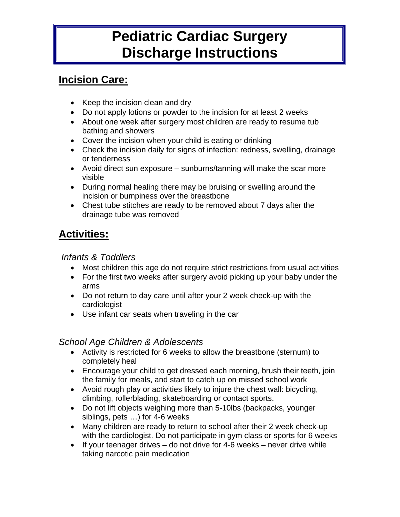# **Pediatric Cardiac Surgery Discharge Instructions**

## **Incision Care:**

- Keep the incision clean and dry
- Do not apply lotions or powder to the incision for at least 2 weeks
- About one week after surgery most children are ready to resume tub bathing and showers
- Cover the incision when your child is eating or drinking
- Check the incision daily for signs of infection: redness, swelling, drainage or tenderness
- Avoid direct sun exposure sunburns/tanning will make the scar more visible
- During normal healing there may be bruising or swelling around the incision or bumpiness over the breastbone
- Chest tube stitches are ready to be removed about 7 days after the drainage tube was removed

# **Activities:**

#### *Infants & Toddlers*

- Most children this age do not require strict restrictions from usual activities
- For the first two weeks after surgery avoid picking up your baby under the arms
- Do not return to day care until after your 2 week check-up with the cardiologist
- Use infant car seats when traveling in the car

#### *School Age Children & Adolescents*

- Activity is restricted for 6 weeks to allow the breastbone (sternum) to completely heal
- Encourage your child to get dressed each morning, brush their teeth, join the family for meals, and start to catch up on missed school work
- Avoid rough play or activities likely to injure the chest wall: bicycling, climbing, rollerblading, skateboarding or contact sports.
- Do not lift objects weighing more than 5-10lbs (backpacks, younger siblings, pets …) for 4-6 weeks
- Many children are ready to return to school after their 2 week check-up with the cardiologist. Do not participate in gym class or sports for 6 weeks
- If your teenager drives  $-$  do not drive for 4-6 weeks  $-$  never drive while taking narcotic pain medication